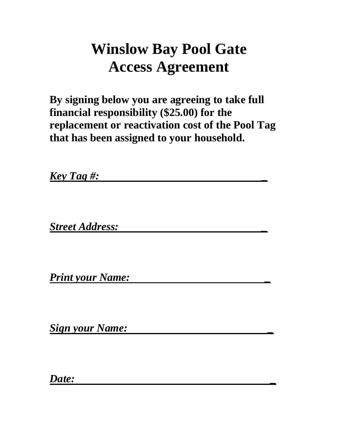# **Winslow Bay Pool Gate Access Agreement**

**By signing below you are agreeing to take full financial responsibility (\$25.00) for the replacement or reactivation cost of the Pool Tag that has been assigned to your household.**

*Key Tag #: \_* 

*Street Address: \_* 

*Print your Name: \_*

*Sign your Name: \_*

*Date: \_*